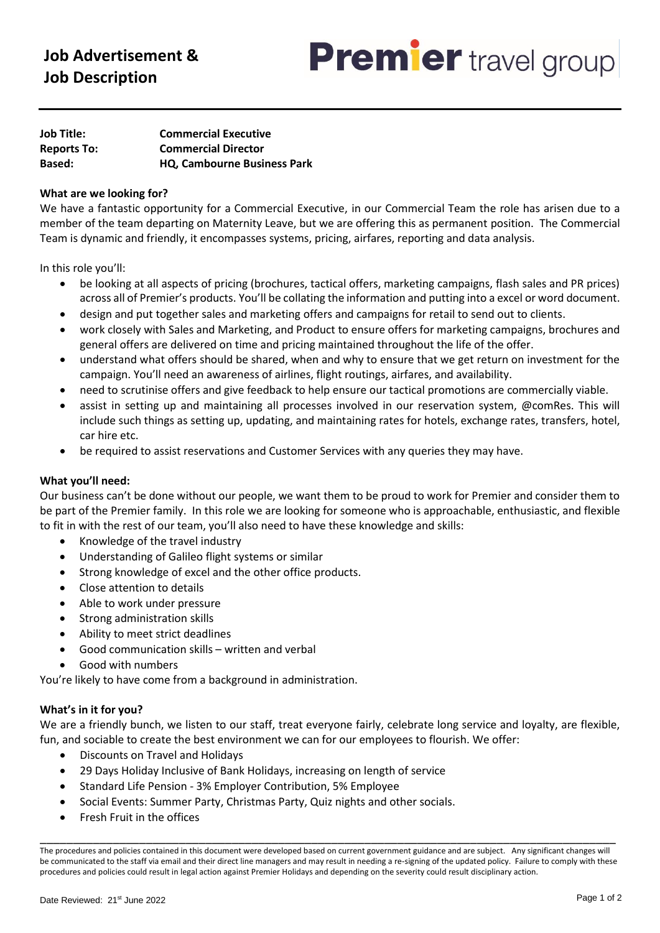

| <b>Job Title:</b>  | <b>Commercial Executive</b>        |
|--------------------|------------------------------------|
| <b>Reports To:</b> | <b>Commercial Director</b>         |
| <b>Based:</b>      | <b>HQ, Cambourne Business Park</b> |

# **What are we looking for?**

We have a fantastic opportunity for a Commercial Executive, in our Commercial Team the role has arisen due to a member of the team departing on Maternity Leave, but we are offering this as permanent position. The Commercial Team is dynamic and friendly, it encompasses systems, pricing, airfares, reporting and data analysis.

In this role you'll:

- be looking at all aspects of pricing (brochures, tactical offers, marketing campaigns, flash sales and PR prices) across all of Premier's products. You'll be collating the information and putting into a excel or word document.
- design and put together sales and marketing offers and campaigns for retail to send out to clients.
- work closely with Sales and Marketing, and Product to ensure offers for marketing campaigns, brochures and general offers are delivered on time and pricing maintained throughout the life of the offer.
- understand what offers should be shared, when and why to ensure that we get return on investment for the campaign. You'll need an awareness of airlines, flight routings, airfares, and availability.
- need to scrutinise offers and give feedback to help ensure our tactical promotions are commercially viable.
- assist in setting up and maintaining all processes involved in our reservation system, @comRes. This will include such things as setting up, updating, and maintaining rates for hotels, exchange rates, transfers, hotel, car hire etc.
- be required to assist reservations and Customer Services with any queries they may have.

## **What you'll need:**

Our business can't be done without our people, we want them to be proud to work for Premier and consider them to be part of the Premier family. In this role we are looking for someone who is approachable, enthusiastic, and flexible to fit in with the rest of our team, you'll also need to have these knowledge and skills:

- Knowledge of the travel industry
- Understanding of Galileo flight systems or similar
- Strong knowledge of excel and the other office products.
- Close attention to details
- Able to work under pressure
- Strong administration skills
- Ability to meet strict deadlines
- Good communication skills written and verbal
- Good with numbers

You're likely to have come from a background in administration.

# **What's in it for you?**

We are a friendly bunch, we listen to our staff, treat everyone fairly, celebrate long service and loyalty, are flexible, fun, and sociable to create the best environment we can for our employees to flourish. We offer:

- Discounts on Travel and Holidays
- 29 Days Holiday Inclusive of Bank Holidays, increasing on length of service
- Standard Life Pension 3% Employer Contribution, 5% Employee
- Social Events: Summer Party, Christmas Party, Quiz nights and other socials.
- Fresh Fruit in the offices

\_\_\_\_\_\_\_\_\_\_\_\_\_\_\_\_\_\_\_\_\_\_\_\_\_\_\_\_\_\_\_\_\_\_\_\_\_\_\_\_\_\_\_\_\_\_\_\_\_\_\_\_\_\_\_\_\_\_\_\_\_\_\_\_\_\_\_\_\_\_\_\_\_\_\_\_\_\_\_\_\_\_\_\_\_\_\_

The procedures and policies contained in this document were developed based on current government guidance and are subject. Any significant changes will be communicated to the staff via email and their direct line managers and may result in needing a re-signing of the updated policy. Failure to comply with these procedures and policies could result in legal action against Premier Holidays and depending on the severity could result disciplinary action.